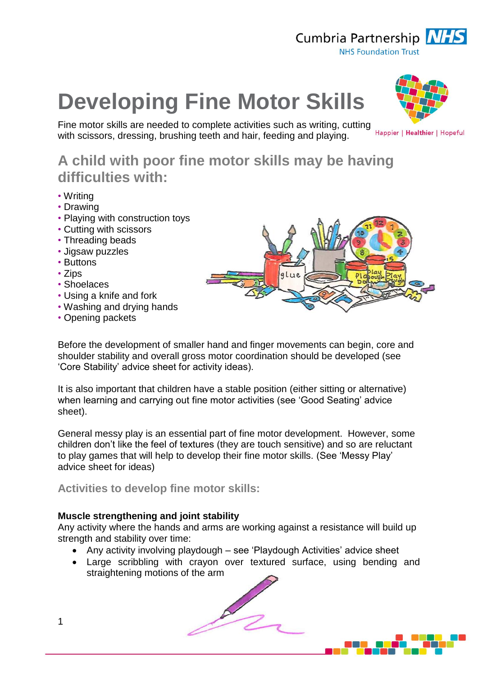

# **Developing Fine Motor Skills**

Fine motor skills are needed to complete activities such as writing, cutting with scissors, dressing, brushing teeth and hair, feeding and playing.

Happier | Healthier | Hopeful

# **A child with poor fine motor skills may be having difficulties with:**

- Writing
- Drawing
- Playing with construction toys
- Cutting with scissors
- Threading beads
- Jigsaw puzzles
- Buttons
- Zips
- Shoelaces
- Using a knife and fork
- Washing and drying hands
- Opening packets

Before the development of smaller hand and finger movements can begin, core and shoulder stability and overall gross motor coordination should be developed (see 'Core Stability' advice sheet for activity ideas).

It is also important that children have a stable position (either sitting or alternative) when learning and carrying out fine motor activities (see 'Good Seating' advice sheet).

General messy play is an essential part of fine motor development. However, some children don't like the feel of textures (they are touch sensitive) and so are reluctant to play games that will help to develop their fine motor skills. (See 'Messy Play' advice sheet for ideas)

**Activities to develop fine motor skills:**

# **Muscle strengthening and joint stability**

Any activity where the hands and arms are working against a resistance will build up strength and stability over time:

- Any activity involving playdough see 'Playdough Activities' advice sheet
- Large scribbling with crayon over textured surface, using bending and straightening motions of the arm

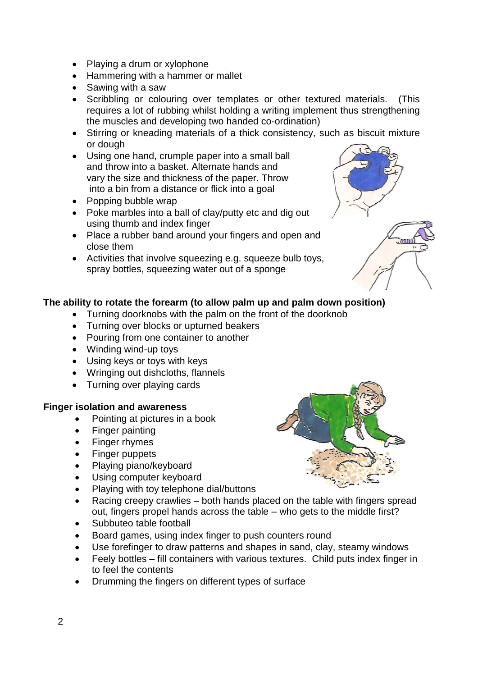- Playing a drum or xylophone
- Hammering with a hammer or mallet
- Sawing with a saw
- Scribbling or colouring over templates or other textured materials. (This requires a lot of rubbing whilst holding a writing implement thus strengthening the muscles and developing two handed co-ordination)
- Stirring or kneading materials of a thick consistency, such as biscuit mixture or dough
- Using one hand, crumple paper into a small ball and throw into a basket. Alternate hands and vary the size and thickness of the paper. Throw into a bin from a distance or flick into a goal
- Popping bubble wrap
- Poke marbles into a ball of clay/putty etc and dig out using thumb and index finger
- Place a rubber band around your fingers and open and close them
- Activities that involve squeezing e.g. squeeze bulb toys, spray bottles, squeezing water out of a sponge



# **The ability to rotate the forearm (to allow palm up and palm down position)**

- Turning doorknobs with the palm on the front of the doorknob
- Turning over blocks or upturned beakers
- Pouring from one container to another
- Winding wind-up toys
- Using keys or toys with keys
- Wringing out dishcloths, flannels
- Turning over playing cards

#### **Finger isolation and awareness**

- Pointing at pictures in a book
- Finger painting
- Finger rhymes
- Finger puppets
- Playing piano/keyboard
- Using computer keyboard
- Playing with toy telephone dial/buttons
- Racing creepy crawlies both hands placed on the table with fingers spread out, fingers propel hands across the table – who gets to the middle first?
- Subbuteo table football
- Board games, using index finger to push counters round
- Use forefinger to draw patterns and shapes in sand, clay, steamy windows
- Feely bottles fill containers with various textures. Child puts index finger in to feel the contents
- Drumming the fingers on different types of surface

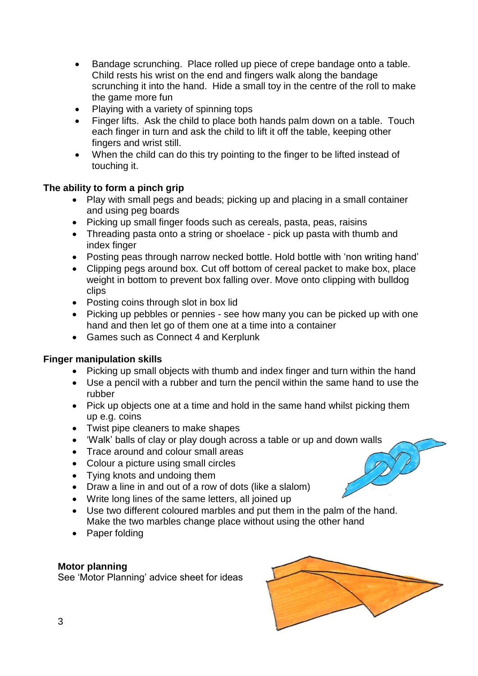- Bandage scrunching. Place rolled up piece of crepe bandage onto a table. Child rests his wrist on the end and fingers walk along the bandage scrunching it into the hand. Hide a small toy in the centre of the roll to make the game more fun
- Playing with a variety of spinning tops
- Finger lifts. Ask the child to place both hands palm down on a table. Touch each finger in turn and ask the child to lift it off the table, keeping other fingers and wrist still.
- When the child can do this try pointing to the finger to be lifted instead of touching it.

# **The ability to form a pinch grip**

- Play with small pegs and beads; picking up and placing in a small container and using peg boards
- Picking up small finger foods such as cereals, pasta, peas, raisins
- Threading pasta onto a string or shoelace pick up pasta with thumb and index finger
- Posting peas through narrow necked bottle. Hold bottle with 'non writing hand'
- Clipping pegs around box. Cut off bottom of cereal packet to make box, place weight in bottom to prevent box falling over. Move onto clipping with bulldog clips
- Posting coins through slot in box lid
- Picking up pebbles or pennies see how many you can be picked up with one hand and then let go of them one at a time into a container
- Games such as Connect 4 and Kerplunk

# **Finger manipulation skills**

- Picking up small objects with thumb and index finger and turn within the hand
- Use a pencil with a rubber and turn the pencil within the same hand to use the rubber
- Pick up objects one at a time and hold in the same hand whilst picking them up e.g. coins
- Twist pipe cleaners to make shapes
- 'Walk' balls of clay or play dough across a table or up and down walls
- Trace around and colour small areas
- Colour a picture using small circles
- Tying knots and undoing them
- Draw a line in and out of a row of dots (like a slalom)
- Write long lines of the same letters, all joined up
- Use two different coloured marbles and put them in the palm of the hand. Make the two marbles change place without using the other hand
- Paper folding

# **Motor planning**

See 'Motor Planning' advice sheet for ideas